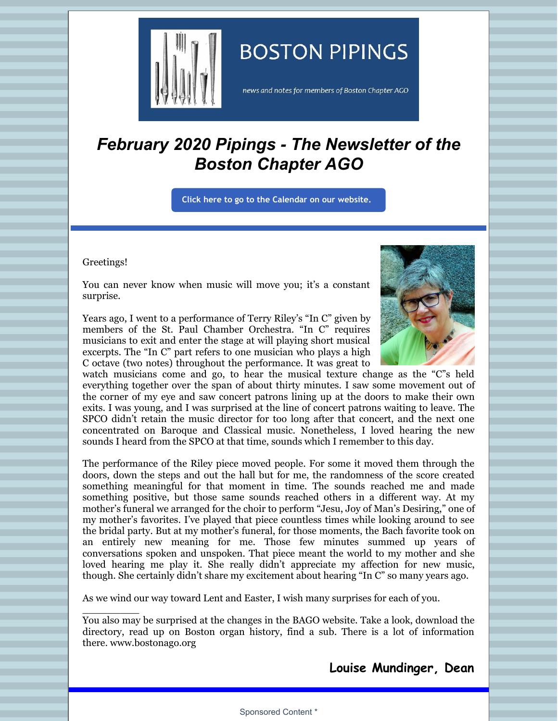

# **BOSTON PIPINGS**

news and notes for members of Boston Chapter AGO

# *February 2020 Pipings - The Newsletter of the Boston Chapter AGO*

**Click here to go to the [Calendar](http://www.bostonago.org/calendar-2/) on our website.**

#### Greetings!

 $\overline{\phantom{a}}$  , where  $\overline{\phantom{a}}$ 

You can never know when music will move you; it's a constant surprise.

Years ago, I went to a performance of Terry Riley's "In C" given by members of the St. Paul Chamber Orchestra. "In C" requires musicians to exit and enter the stage at will playing short musical excerpts. The "In C" part refers to one musician who plays a high C octave (two notes) throughout the performance. It was great to



watch musicians come and go, to hear the musical texture change as the "C"s held everything together over the span of about thirty minutes. I saw some movement out of the corner of my eye and saw concert patrons lining up at the doors to make their own exits. I was young, and I was surprised at the line of concert patrons waiting to leave. The SPCO didn't retain the music director for too long after that concert, and the next one concentrated on Baroque and Classical music. Nonetheless, I loved hearing the new sounds I heard from the SPCO at that time, sounds which I remember to this day.

The performance of the Riley piece moved people. For some it moved them through the doors, down the steps and out the hall but for me, the randomness of the score created something meaningful for that moment in time. The sounds reached me and made something positive, but those same sounds reached others in a different way. At my mother's funeral we arranged for the choir to perform "Jesu, Joy of Man's Desiring," one of my mother's favorites. I've played that piece countless times while looking around to see the bridal party. But at my mother's funeral, for those moments, the Bach favorite took on an entirely new meaning for me. Those few minutes summed up years of conversations spoken and unspoken. That piece meant the world to my mother and she loved hearing me play it. She really didn't appreciate my affection for new music, though. She certainly didn't share my excitement about hearing "In C" so many years ago.

As we wind our way toward Lent and Easter, I wish many surprises for each of you.

You also may be surprised at the changes in the BAGO website. Take a look, download the directory, read up on Boston organ history, find a sub. There is a lot of information there. www.bostonago.org

**Louise Mundinger, Dean**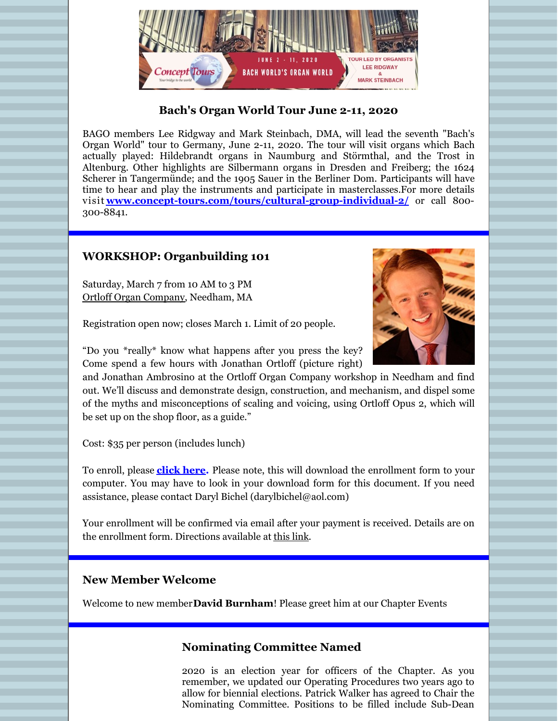

## **Bach's Organ World Tour June 2-11, 2020**

BAGO members Lee Ridgway and Mark Steinbach, DMA, will lead the seventh "Bach's Organ World" tour to Germany, June 2-11, 2020. The tour will visit organs which Bach actually played: Hildebrandt organs in Naumburg and Störmthal, and the Trost in Altenburg. Other highlights are Silbermann organs in Dresden and Freiberg; the 1624 Scherer in Tangermünde; and the 1905 Sauer in the Berliner Dom. Participants will have time to hear and play the instruments and participate in masterclasses.For more details visit **[www.concept-tours.com/tours/cultural-group-individual-2/](http://www.concept-tours.com/tours/cultural-group-individual-2/)** or call 800- 300-8841.

## **WORKSHOP: Organbuilding 101**

Saturday, March 7 from 10 AM to 3 PM Ortloff Organ [Company](https://ortlofforgan.com), Needham, MA

Registration open now; closes March 1. Limit of 20 people.



"Do you \*really\* know what happens after you press the key? Come spend a few hours with Jonathan Ortloff (picture right)

and Jonathan Ambrosino at the Ortloff Organ Company workshop in Needham and find out. We'll discuss and demonstrate design, construction, and mechanism, and dispel some of the myths and misconceptions of scaling and voicing, using Ortloff Opus 2, which will be set up on the shop floor, as a guide."

Cost: \$35 per person (includes lunch)

To enroll, please **[click](http://www.bostonago.org/wp-content/uploads/2020/01/Organbuilding-101-Registration-form.docx) here.** Please note, this will download the enrollment form to your computer. You may have to look in your download form for this document. If you need assistance, please contact Daryl Bichel (darylbichel@aol.com)

Your enrollment will be confirmed via email after your payment is received. Details are on the enrollment form. Directions available at [this](https://www.google.com/maps/dir//178+Crescent+Rd,+Needham,+MA+02494/@42.315629,-71.2485276,12z/data=!4m8!4m7!1m0!1m5!1m1!1s0x89e38177d86d9afd:0x2ac643be940f8f23!2m2!1d-71.2398635!2d42.2969995) link.

#### **New Member Welcome**

Welcome to new member**David Burnham**! Please greet him at our Chapter Events

# **Nominating Committee Named**

2020 is an election year for officers of the Chapter. As you remember, we updated our Operating Procedures two years ago to allow for biennial elections. Patrick Walker has agreed to Chair the Nominating Committee. Positions to be filled include Sub-Dean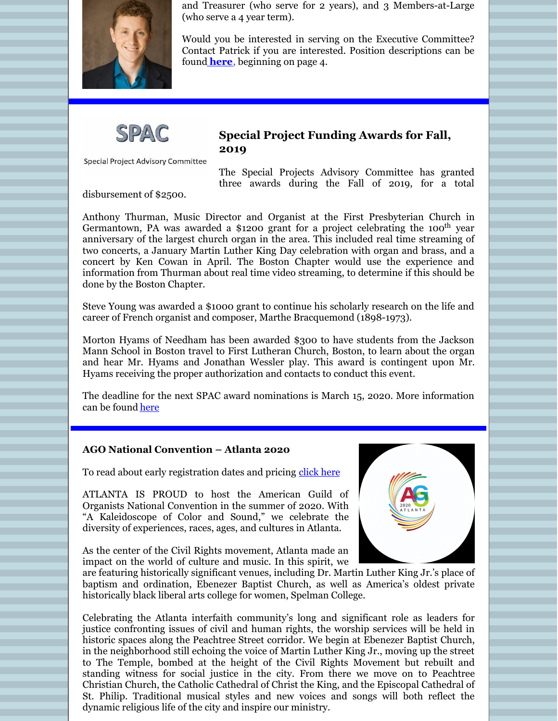

and Treasurer (who serve for 2 years), and 3 Members-at-Large (who serve a 4 year term).

Would you be interested in serving on the Executive Committee? Contact Patrick if you are interested. Position descriptions can be found **[here](http://www.bostonago.org/wp-content/uploads/2020/01/2020.01.01-Operating-Procedures-final.pdf)**, beginning on page 4.



Special Project Advisory Committee

#### **Special Project Funding Awards for Fall, 2019**

The Special Projects Advisory Committee has granted three awards during the Fall of 2019, for a total

disbursement of \$2500.

Anthony Thurman, Music Director and Organist at the First Presbyterian Church in Germantown, PA was awarded a \$1200 grant for a project celebrating the 100<sup>th</sup> year anniversary of the largest church organ in the area. This included real time streaming of two concerts, a January Martin Luther King Day celebration with organ and brass, and a concert by Ken Cowan in April. The Boston Chapter would use the experience and information from Thurman about real time video streaming, to determine if this should be done by the Boston Chapter.

Steve Young was awarded a \$1000 grant to continue his scholarly research on the life and career of French organist and composer, Marthe Bracquemond (1898-1973).

Morton Hyams of Needham has been awarded \$300 to have students from the Jackson Mann School in Boston travel to First Lutheran Church, Boston, to learn about the organ and hear Mr. Hyams and Jonathan Wessler play. This award is contingent upon Mr. Hyams receiving the proper authorization and contacts to conduct this event.

The deadline for the next SPAC award nominations is March 15, 2020. More information can be found [here](http://www.bostonago.org/chapter/spac/spac-project-application/)

#### **AGO National Convention – Atlanta 2020**

To read about early registration dates and pricing [click](https://www.agoatlanta2020.com/registration/) here

ATLANTA IS PROUD to host the American Guild of Organists National Convention in the summer of 2020. With "A Kaleidoscope of Color and Sound," we celebrate the diversity of experiences, races, ages, and cultures in Atlanta.

As the center of the Civil Rights movement, Atlanta made an impact on the world of culture and music. In this spirit, we



are featuring historically significant venues, including Dr. Martin Luther King Jr.'s place of baptism and ordination, Ebenezer Baptist Church, as well as America's oldest private historically black liberal arts college for women, Spelman College.

Celebrating the Atlanta interfaith community's long and significant role as leaders for justice confronting issues of civil and human rights, the worship services will be held in historic spaces along the Peachtree Street corridor. We begin at Ebenezer Baptist Church, in the neighborhood still echoing the voice of Martin Luther King Jr., moving up the street to The Temple, bombed at the height of the Civil Rights Movement but rebuilt and standing witness for social justice in the city. From there we move on to Peachtree Christian Church, the Catholic Cathedral of Christ the King, and the Episcopal Cathedral of St. Philip. Traditional musical styles and new voices and songs will both reflect the dynamic religious life of the city and inspire our ministry.